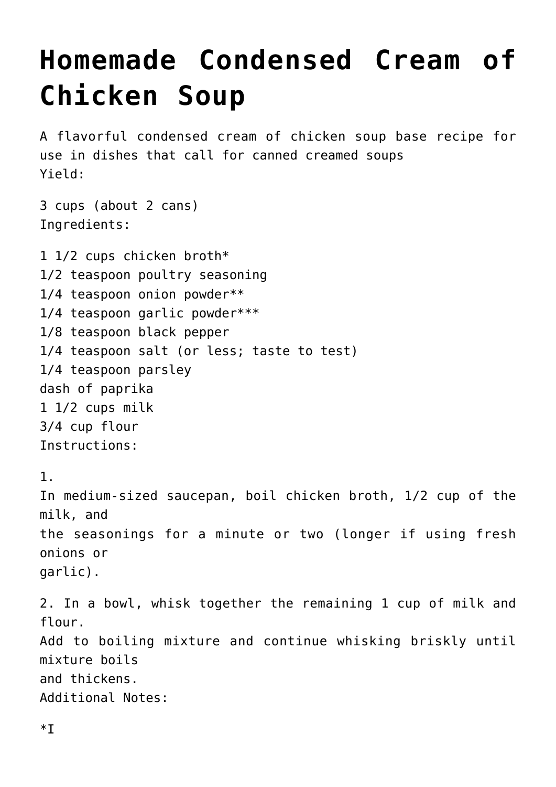## **[Homemade Condensed Cream of](https://lincon.com/site/homemade-condensed-cream-of-chicken-soup/) [Chicken Soup](https://lincon.com/site/homemade-condensed-cream-of-chicken-soup/)**

A flavorful condensed cream of chicken soup base recipe for use in dishes that call for canned creamed soups Yield:

3 cups (about 2 cans) Ingredients:

1 1/2 cups chicken broth\* 1/2 teaspoon poultry seasoning 1/4 teaspoon onion powder\*\* 1/4 teaspoon garlic powder\*\*\* 1/8 teaspoon black pepper 1/4 teaspoon salt (or less; taste to test) 1/4 teaspoon parsley dash of paprika 1 1/2 cups milk 3/4 cup flour Instructions: 1. In medium-sized saucepan, boil chicken broth, 1/2 cup of the milk, and the seasonings for a minute or two (longer if using fresh onions or garlic). 2. In a bowl, whisk together the remaining 1 cup of milk and flour. Add to boiling mixture and continue whisking briskly until mixture boils and thickens. Additional Notes: